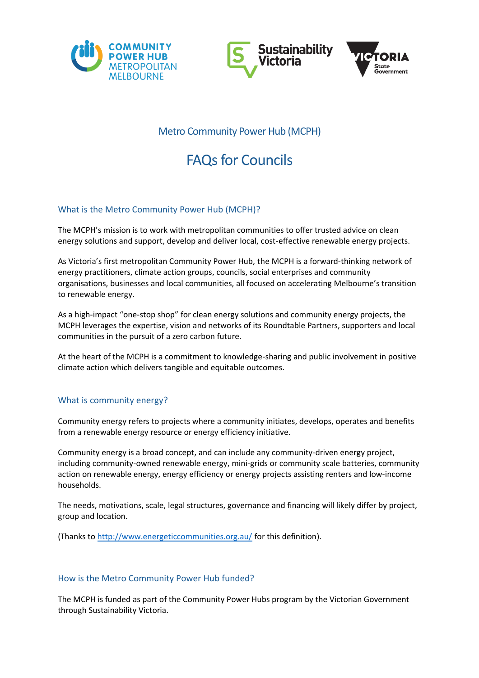





# Metro Community Power Hub (MCPH)

# **FAQs for Councils**

# What is the Metro Community Power Hub (MCPH)?

The MCPH's mission is to work with metropolitan communities to offer trusted advice on clean energy solutions and support, develop and deliver local, cost-effective renewable energy projects.

As Victoria's first metropolitan Community Power Hub, the MCPH is a forward-thinking network of energy practitioners, climate action groups, councils, social enterprises and community organisations, businesses and local communities, all focused on accelerating Melbourne's transition to renewable energy.

As a high-impact "one-stop shop" for clean energy solutions and community energy projects, the MCPH leverages the expertise, vision and networks of its Roundtable Partners, supporters and local communities in the pursuit of a zero carbon future.

At the heart of the MCPH is a commitment to knowledge-sharing and public involvement in positive climate action which delivers tangible and equitable outcomes.

# What is community energy?

Community energy refers to projects where a community initiates, develops, operates and benefits from a renewable energy resource or energy efficiency initiative.

Community energy is a broad concept, and can include any community-driven energy project, including community-owned renewable energy, mini-grids or community scale batteries, community action on renewable energy, energy efficiency or energy projects assisting renters and low-income households.

The needs, motivations, scale, legal structures, governance and financing will likely differ by project, group and location.

(Thanks to <http://www.energeticcommunities.org.au/> for this definition).

# How is the Metro Community Power Hub funded?

The MCPH is funded as part of the Community Power Hubs program by the Victorian Government through Sustainability Victoria.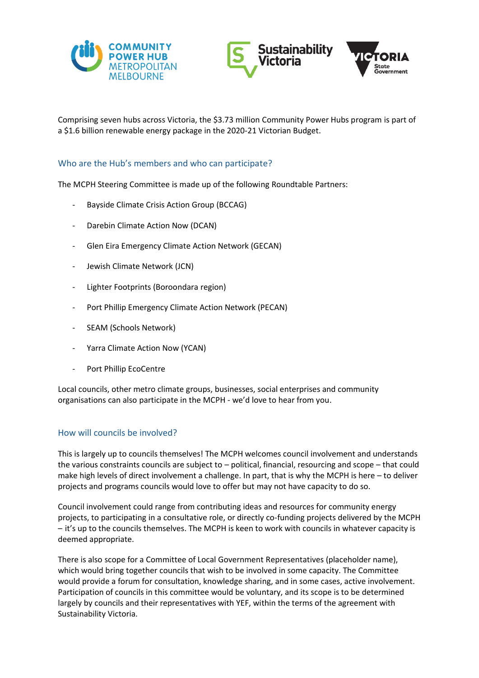





Comprising seven hubs across Victoria, the \$3.73 million Community Power Hubs program is part of a \$1.6 billion renewable energy package in the 2020-21 Victorian Budget.

#### Who are the Hub's members and who can participate?

The MCPH Steering Committee is made up of the following Roundtable Partners:

- Bayside Climate Crisis Action Group (BCCAG)
- Darebin Climate Action Now (DCAN)
- Glen Eira Emergency Climate Action Network (GECAN)
- Jewish Climate Network (JCN)
- Lighter Footprints (Boroondara region)
- Port Phillip Emergency Climate Action Network (PECAN)
- SEAM (Schools Network)
- Yarra Climate Action Now (YCAN)
- Port Phillip EcoCentre

Local councils, other metro climate groups, businesses, social enterprises and community organisations can also participate in the MCPH - we'd love to hear from you.

#### How will councils be involved?

This is largely up to councils themselves! The MCPH welcomes council involvement and understands the various constraints councils are subject to – political, financial, resourcing and scope – that could make high levels of direct involvement a challenge. In part, that is why the MCPH is here – to deliver projects and programs councils would love to offer but may not have capacity to do so.

Council involvement could range from contributing ideas and resources for community energy projects, to participating in a consultative role, or directly co-funding projects delivered by the MCPH – it's up to the councils themselves. The MCPH is keen to work with councils in whatever capacity is deemed appropriate.

There is also scope for a Committee of Local Government Representatives (placeholder name), which would bring together councils that wish to be involved in some capacity. The Committee would provide a forum for consultation, knowledge sharing, and in some cases, active involvement. Participation of councils in this committee would be voluntary, and its scope is to be determined largely by councils and their representatives with YEF, within the terms of the agreement with Sustainability Victoria.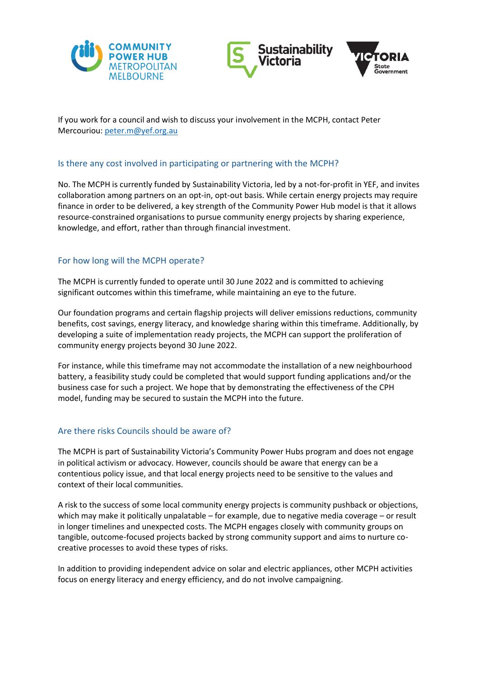





If you work for a council and wish to discuss your involvement in the MCPH, contact Peter Mercouriou: [peter.m@yef.org.au](mailto:peter.m@yef.org.au)

#### Is there any cost involved in participating or partnering with the MCPH?

No. The MCPH is currently funded by Sustainability Victoria, led by a not-for-profit in YEF, and invites collaboration among partners on an opt-in, opt-out basis. While certain energy projects may require finance in order to be delivered, a key strength of the Community Power Hub model is that it allows resource-constrained organisations to pursue community energy projects by sharing experience, knowledge, and effort, rather than through financial investment.

# For how long will the MCPH operate?

The MCPH is currently funded to operate until 30 June 2022 and is committed to achieving significant outcomes within this timeframe, while maintaining an eye to the future.

Our foundation programs and certain flagship projects will deliver emissions reductions, community benefits, cost savings, energy literacy, and knowledge sharing within this timeframe. Additionally, by developing a suite of implementation ready projects, the MCPH can support the proliferation of community energy projects beyond 30 June 2022.

For instance, while this timeframe may not accommodate the installation of a new neighbourhood battery, a feasibility study could be completed that would support funding applications and/or the business case for such a project. We hope that by demonstrating the effectiveness of the CPH model, funding may be secured to sustain the MCPH into the future.

# Are there risks Councils should be aware of?

The MCPH is part of Sustainability Victoria's Community Power Hubs program and does not engage in political activism or advocacy. However, councils should be aware that energy can be a contentious policy issue, and that local energy projects need to be sensitive to the values and context of their local communities.

A risk to the success of some local community energy projects is community pushback or objections, which may make it politically unpalatable – for example, due to negative media coverage – or result in longer timelines and unexpected costs. The MCPH engages closely with community groups on tangible, outcome-focused projects backed by strong community support and aims to nurture cocreative processes to avoid these types of risks.

In addition to providing independent advice on solar and electric appliances, other MCPH activities focus on energy literacy and energy efficiency, and do not involve campaigning.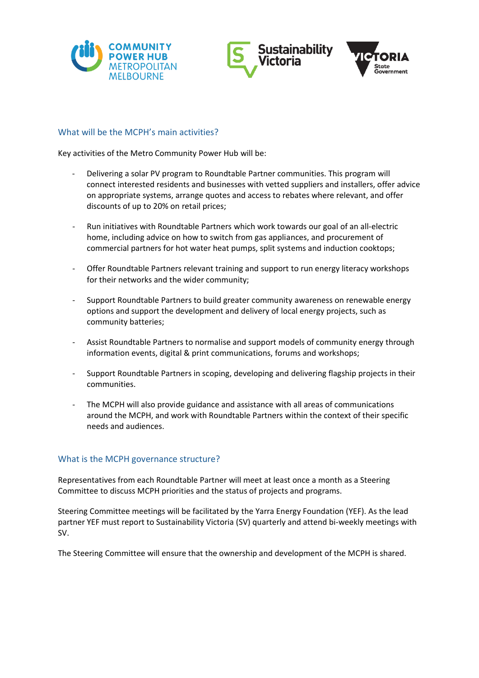





#### What will be the MCPH's main activities?

Key activities of the Metro Community Power Hub will be:

- Delivering a solar PV program to Roundtable Partner communities. This program will connect interested residents and businesses with vetted suppliers and installers, offer advice on appropriate systems, arrange quotes and access to rebates where relevant, and offer discounts of up to 20% on retail prices;
- Run initiatives with Roundtable Partners which work towards our goal of an all-electric home, including advice on how to switch from gas appliances, and procurement of commercial partners for hot water heat pumps, split systems and induction cooktops;
- Offer Roundtable Partners relevant training and support to run energy literacy workshops for their networks and the wider community;
- Support Roundtable Partners to build greater community awareness on renewable energy options and support the development and delivery of local energy projects, such as community batteries;
- Assist Roundtable Partners to normalise and support models of community energy through information events, digital & print communications, forums and workshops;
- Support Roundtable Partners in scoping, developing and delivering flagship projects in their communities.
- The MCPH will also provide guidance and assistance with all areas of communications around the MCPH, and work with Roundtable Partners within the context of their specific needs and audiences.

#### What is the MCPH governance structure?

Representatives from each Roundtable Partner will meet at least once a month as a Steering Committee to discuss MCPH priorities and the status of projects and programs.

Steering Committee meetings will be facilitated by the Yarra Energy Foundation (YEF). As the lead partner YEF must report to Sustainability Victoria (SV) quarterly and attend bi-weekly meetings with SV.

The Steering Committee will ensure that the ownership and development of the MCPH is shared.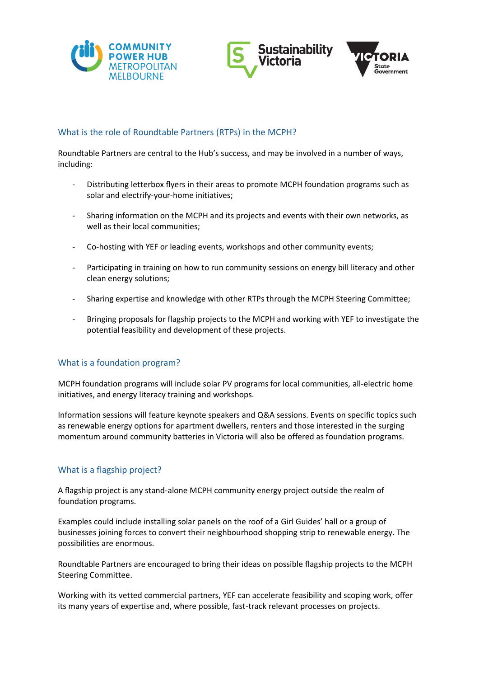





#### What is the role of Roundtable Partners (RTPs) in the MCPH?

Roundtable Partners are central to the Hub's success, and may be involved in a number of ways, including:

- Distributing letterbox flyers in their areas to promote MCPH foundation programs such as solar and electrify-your-home initiatives;
- Sharing information on the MCPH and its projects and events with their own networks, as well as their local communities;
- Co-hosting with YEF or leading events, workshops and other community events;
- Participating in training on how to run community sessions on energy bill literacy and other clean energy solutions;
- Sharing expertise and knowledge with other RTPs through the MCPH Steering Committee;
- Bringing proposals for flagship projects to the MCPH and working with YEF to investigate the potential feasibility and development of these projects.

# What is a foundation program?

MCPH foundation programs will include solar PV programs for local communities, all-electric home initiatives, and energy literacy training and workshops.

Information sessions will feature keynote speakers and Q&A sessions. Events on specific topics such as renewable energy options for apartment dwellers, renters and those interested in the surging momentum around community batteries in Victoria will also be offered as foundation programs.

# What is a flagship project?

A flagship project is any stand-alone MCPH community energy project outside the realm of foundation programs.

Examples could include installing solar panels on the roof of a Girl Guides' hall or a group of businesses joining forces to convert their neighbourhood shopping strip to renewable energy. The possibilities are enormous.

Roundtable Partners are encouraged to bring their ideas on possible flagship projects to the MCPH Steering Committee.

Working with its vetted commercial partners, YEF can accelerate feasibility and scoping work, offer its many years of expertise and, where possible, fast-track relevant processes on projects.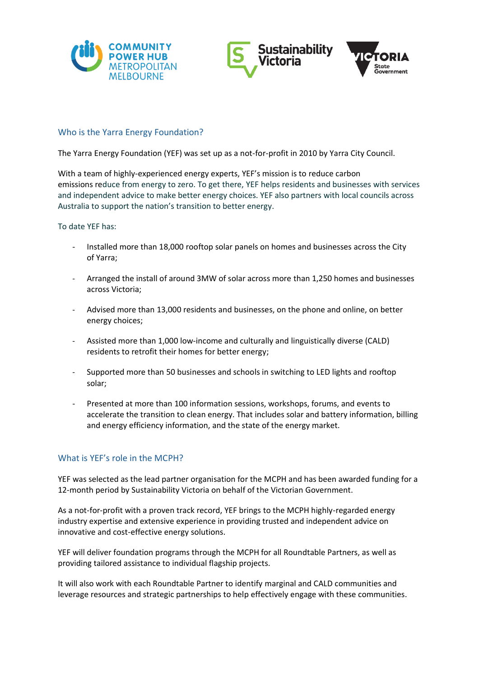





#### Who is the Yarra Energy Foundation?

The Yarra Energy Foundation (YEF) was set up as a not-for-profit in 2010 by Yarra City Council.

With a team of highly-experienced energy experts, YEF's mission is to reduce carbon emissions reduce from energy to zero. To get there, YEF helps residents and businesses with services and independent advice to make better energy choices. YEF also partners with local councils across Australia to support the nation's transition to better energy.

#### To date YEF has:

- Installed more than 18,000 rooftop solar panels on homes and businesses across the City of Yarra;
- Arranged the install of around 3MW of solar across more than 1,250 homes and businesses across Victoria;
- Advised more than 13,000 residents and businesses, on the phone and online, on better energy choices;
- Assisted more than 1,000 low-income and culturally and linguistically diverse (CALD) residents to retrofit their homes for better energy;
- Supported more than 50 businesses and schools in switching to LED lights and rooftop solar;
- Presented at more than 100 information sessions, workshops, forums, and events to accelerate the transition to clean energy. That includes solar and battery information, billing and energy efficiency information, and the state of the energy market.

# What is YEF's role in the MCPH?

YEF was selected as the lead partner organisation for the MCPH and has been awarded funding for a 12-month period by Sustainability Victoria on behalf of the Victorian Government.

As a not-for-profit with a proven track record, YEF brings to the MCPH highly-regarded energy industry expertise and extensive experience in providing trusted and independent advice on innovative and cost-effective energy solutions.

YEF will deliver foundation programs through the MCPH for all Roundtable Partners, as well as providing tailored assistance to individual flagship projects.

It will also work with each Roundtable Partner to identify marginal and CALD communities and leverage resources and strategic partnerships to help effectively engage with these communities.